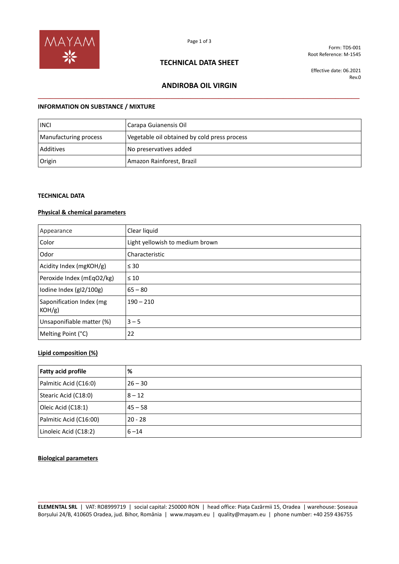

## **TECHNICAL DATA SHEET**

Form: TDS-001 Root Reference: M-1545

Effective date: 06.2021 Rev.0

# **ANDIROBA OIL VIRGIN \_\_\_\_\_\_\_\_\_\_\_\_\_\_\_\_\_\_\_\_\_\_\_\_\_\_\_\_\_\_\_\_\_\_\_\_\_\_\_\_\_\_\_\_\_\_\_\_\_\_\_\_\_\_\_\_\_\_\_\_\_\_\_\_\_\_\_\_\_\_\_\_\_\_\_\_\_\_\_\_**

### **INFORMATION ON SUBSTANCE / MIXTURE**

| <b>INCI</b>           | Carapa Guianensis Oil                        |
|-----------------------|----------------------------------------------|
| Manufacturing process | Vegetable oil obtained by cold press process |
| Additives             | No preservatives added                       |
| Origin                | Amazon Rainforest, Brazil                    |

### **TECHNICAL DATA**

#### **Physical & chemical parameters**

| Appearance                            | Clear liquid                    |
|---------------------------------------|---------------------------------|
| Color                                 | Light yellowish to medium brown |
| Odor                                  | Characteristic                  |
| Acidity Index (mgKOH/g)               | $\leq 30$                       |
| Peroxide Index (mEqO2/kg)             | $\leq 10$                       |
| lodine Index (gl2/100g)               | $65 - 80$                       |
| Saponification Index (mg<br>$KOH/g$ ) | $190 - 210$                     |
| Unsaponifiable matter (%)             | $3 - 5$                         |
| Melting Point (°C)                    | 22                              |

### **Lipid composition (%)**

| <b>Fatty acid profile</b> | %         |
|---------------------------|-----------|
| Palmitic Acid (C16:0)     | $26 - 30$ |
| Stearic Acid (C18:0)      | $8 - 12$  |
| Oleic Acid (C18:1)        | $45 - 58$ |
| Palmitic Acid (C16:00)    | $20 - 28$ |
| Linoleic Acid (C18:2)     | $6 - 14$  |

### **Biological parameters**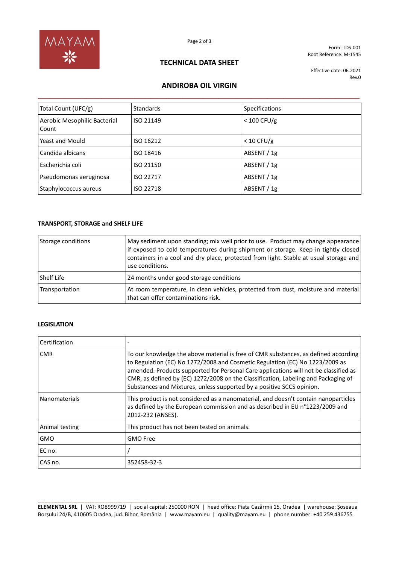

Form: TDS-001 Root Reference: M-1545

## **TECHNICAL DATA SHEET**

Effective date: 06.2021 Rev.0

# **ANDIROBA OIL VIRGIN \_\_\_\_\_\_\_\_\_\_\_\_\_\_\_\_\_\_\_\_\_\_\_\_\_\_\_\_\_\_\_\_\_\_\_\_\_\_\_\_\_\_\_\_\_\_\_\_\_\_\_\_\_\_\_\_\_\_\_\_\_\_\_\_\_\_\_\_\_\_\_\_\_\_\_\_\_\_\_\_**

| Total Count (UFC/g)                   | Standards | <b>Specifications</b> |
|---------------------------------------|-----------|-----------------------|
| Aerobic Mesophilic Bacterial<br>Count | ISO 21149 | $< 100$ CFU/g         |
| Yeast and Mould                       | ISO 16212 | $< 10$ CFU/g          |
| Candida albicans                      | ISO 18416 | ABSENT / 1g           |
| Escherichia coli                      | ISO 21150 | ABSENT / 1g           |
| Pseudomonas aeruginosa                | ISO 22717 | ABSENT / 1g           |
| Staphylococcus aureus                 | ISO 22718 | ABSENT / 1g           |

## **TRANSPORT, STORAGE and SHELF LIFE**

| Storage conditions | May sediment upon standing; mix well prior to use. Product may change appearance<br>if exposed to cold temperatures during shipment or storage. Keep in tightly closed<br>containers in a cool and dry place, protected from light. Stable at usual storage and<br>use conditions. |
|--------------------|------------------------------------------------------------------------------------------------------------------------------------------------------------------------------------------------------------------------------------------------------------------------------------|
| l Shelf Life       | 24 months under good storage conditions                                                                                                                                                                                                                                            |
| Transportation     | At room temperature, in clean vehicles, protected from dust, moisture and material<br>that can offer contaminations risk.                                                                                                                                                          |

### **LEGISLATION**

| Certification        |                                                                                                                                                                                                                                                                                                                                                                                                                            |
|----------------------|----------------------------------------------------------------------------------------------------------------------------------------------------------------------------------------------------------------------------------------------------------------------------------------------------------------------------------------------------------------------------------------------------------------------------|
| <b>CMR</b>           | To our knowledge the above material is free of CMR substances, as defined according<br>to Regulation (EC) No 1272/2008 and Cosmetic Regulation (EC) No 1223/2009 as<br>amended. Products supported for Personal Care applications will not be classified as<br>CMR, as defined by (EC) 1272/2008 on the Classification, Labeling and Packaging of<br>Substances and Mixtures, unless supported by a positive SCCS opinion. |
| <b>Nanomaterials</b> | This product is not considered as a nanomaterial, and doesn't contain nanoparticles<br>as defined by the European commission and as described in EU n°1223/2009 and<br>2012-232 (ANSES).                                                                                                                                                                                                                                   |
| Animal testing       | This product has not been tested on animals.                                                                                                                                                                                                                                                                                                                                                                               |
| <b>GMO</b>           | <b>GMO Free</b>                                                                                                                                                                                                                                                                                                                                                                                                            |
| EC no.               |                                                                                                                                                                                                                                                                                                                                                                                                                            |
| CAS no.              | 352458-32-3                                                                                                                                                                                                                                                                                                                                                                                                                |